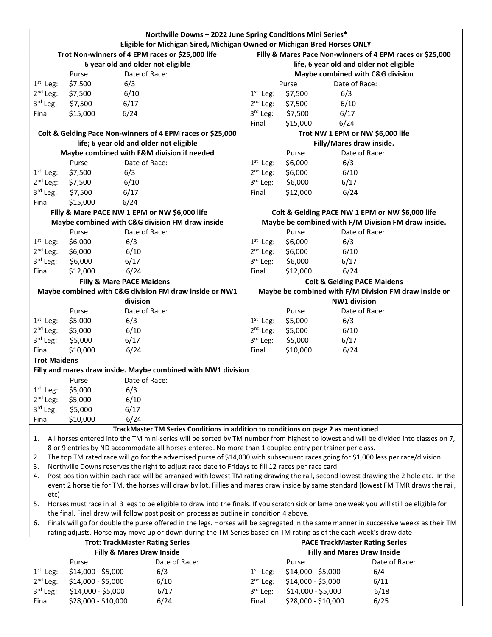| Northville Downs - 2022 June Spring Conditions Mini Series*                                                                                      |                       |                                            |  |                                                           |                                       |                                    |                                  |  |
|--------------------------------------------------------------------------------------------------------------------------------------------------|-----------------------|--------------------------------------------|--|-----------------------------------------------------------|---------------------------------------|------------------------------------|----------------------------------|--|
| Eligible for Michigan Sired, Michigan Owned or Michigan Bred Horses ONLY                                                                         |                       |                                            |  |                                                           |                                       |                                    |                                  |  |
| Trot Non-winners of 4 EPM races or \$25,000 life                                                                                                 |                       |                                            |  | Filly & Mares Pace Non-winners of 4 EPM races or \$25,000 |                                       |                                    |                                  |  |
| 6 year old and older not eligible                                                                                                                |                       |                                            |  | life, 6 year old and older not eligible                   |                                       |                                    |                                  |  |
|                                                                                                                                                  | Purse                 | Date of Race:                              |  |                                                           |                                       |                                    | Maybe combined with C&G division |  |
| $1st$ Leg:                                                                                                                                       | \$7,500               | 6/3                                        |  |                                                           | Purse                                 | Date of Race:                      |                                  |  |
| $2nd$ Leg:                                                                                                                                       | \$7,500               | 6/10                                       |  | $1st$ Leg:                                                | \$7,500                               | 6/3                                |                                  |  |
| 3rd Leg:                                                                                                                                         | \$7,500               | 6/17                                       |  | $2nd$ Leg:                                                | \$7,500                               | 6/10                               |                                  |  |
| Final                                                                                                                                            | \$15,000              | 6/24                                       |  | $3rd$ Leg:                                                | \$7,500                               | 6/17                               |                                  |  |
|                                                                                                                                                  |                       |                                            |  | Final                                                     | \$15,000                              | 6/24                               |                                  |  |
| Colt & Gelding Pace Non-winners of 4 EPM races or \$25,000                                                                                       |                       |                                            |  | Trot NW 1 EPM or NW \$6,000 life                          |                                       |                                    |                                  |  |
| life; 6 year old and older not eligible                                                                                                          |                       |                                            |  | Filly/Mares draw inside.                                  |                                       |                                    |                                  |  |
|                                                                                                                                                  |                       | Maybe combined with F&M division if needed |  |                                                           | Purse                                 | Date of Race:                      |                                  |  |
|                                                                                                                                                  | Purse                 | Date of Race:                              |  | $1st$ Leg:                                                | \$6,000                               | 6/3                                |                                  |  |
| $1st$ Leg:                                                                                                                                       | \$7,500               | 6/3                                        |  | $2nd$ Leg:                                                | \$6,000                               | 6/10                               |                                  |  |
| $2^{nd}$ Leg:                                                                                                                                    | \$7,500               | 6/10                                       |  | $3rd$ Leg:                                                | \$6,000                               | 6/17                               |                                  |  |
| 3rd Leg:                                                                                                                                         | \$7,500               | 6/17                                       |  | Final                                                     | \$12,000                              | 6/24                               |                                  |  |
| Final                                                                                                                                            | \$15,000              | 6/24                                       |  |                                                           |                                       |                                    |                                  |  |
| Filly & Mare PACE NW 1 EPM or NW \$6,000 life                                                                                                    |                       |                                            |  | Colt & Gelding PACE NW 1 EPM or NW \$6,000 life           |                                       |                                    |                                  |  |
| Maybe combined with C&G division FM draw inside                                                                                                  |                       |                                            |  | Maybe be combined with F/M Division FM draw inside.       |                                       |                                    |                                  |  |
|                                                                                                                                                  | Purse                 | Date of Race:                              |  |                                                           | Purse                                 | Date of Race:                      |                                  |  |
| $1st$ Leg:                                                                                                                                       | \$6,000               | 6/3                                        |  | $1st$ Leg:                                                | \$6,000                               | 6/3                                |                                  |  |
| $2nd$ Leg:                                                                                                                                       | \$6,000               | 6/10                                       |  | $2nd$ Leg:                                                | \$6,000                               | 6/10                               |                                  |  |
| 3rd Leg:                                                                                                                                         | \$6,000               | 6/17                                       |  | $3rd$ Leg:                                                | \$6,000                               | 6/17                               |                                  |  |
| Final                                                                                                                                            | \$12,000              | 6/24                                       |  | Final                                                     | \$12,000                              | 6/24                               |                                  |  |
| <b>Filly &amp; Mare PACE Maidens</b>                                                                                                             |                       |                                            |  | <b>Colt &amp; Gelding PACE Maidens</b>                    |                                       |                                    |                                  |  |
| Maybe combined with C&G division FM draw inside or NW1                                                                                           |                       |                                            |  | Maybe be combined with F/M Division FM draw inside or     |                                       |                                    |                                  |  |
| division                                                                                                                                         |                       |                                            |  | <b>NW1 division</b>                                       |                                       |                                    |                                  |  |
|                                                                                                                                                  | Purse                 | Date of Race:                              |  |                                                           | Purse                                 | Date of Race:                      |                                  |  |
| $1st$ Leg:                                                                                                                                       | \$5,000               | 6/3                                        |  | $1st$ Leg:                                                | \$5,000                               | 6/3                                |                                  |  |
| $2nd$ Leg:                                                                                                                                       | \$5,000               | 6/10                                       |  | $2nd$ Leg:                                                | \$5,000                               | 6/10                               |                                  |  |
| 3rd Leg:                                                                                                                                         | \$5,000               | 6/17                                       |  | $3rd$ Leg:                                                | \$5,000                               | 6/17                               |                                  |  |
| Final                                                                                                                                            | \$10,000              | 6/24                                       |  | Final                                                     | \$10,000                              | 6/24                               |                                  |  |
| <b>Trot Maidens</b>                                                                                                                              |                       |                                            |  |                                                           |                                       |                                    |                                  |  |
| Filly and mares draw inside. Maybe combined with NW1 division                                                                                    |                       |                                            |  |                                                           |                                       |                                    |                                  |  |
|                                                                                                                                                  | Purse                 | Date of Race:                              |  |                                                           |                                       |                                    |                                  |  |
|                                                                                                                                                  | $1^{st}$ Leg: \$5,000 | 6/3                                        |  |                                                           |                                       |                                    |                                  |  |
| 2 <sup>nd</sup> Leg:                                                                                                                             | \$5,000               | 6/10                                       |  |                                                           |                                       |                                    |                                  |  |
| 3rd Leg:                                                                                                                                         | \$5,000               | 6/17                                       |  |                                                           |                                       |                                    |                                  |  |
| Final                                                                                                                                            | \$10,000              | 6/24                                       |  |                                                           |                                       |                                    |                                  |  |
| TrackMaster TM Series Conditions in addition to conditions on page 2 as mentioned                                                                |                       |                                            |  |                                                           |                                       |                                    |                                  |  |
| All horses entered into the TM mini-series will be sorted by TM number from highest to lowest and will be divided into classes on 7,<br>1.       |                       |                                            |  |                                                           |                                       |                                    |                                  |  |
| 8 or 9 entries by ND accommodate all horses entered. No more than 1 coupled entry per trainer per class.                                         |                       |                                            |  |                                                           |                                       |                                    |                                  |  |
| The top TM rated race will go for the advertised purse of \$14,000 with subsequent races going for \$1,000 less per race/division.<br>2.         |                       |                                            |  |                                                           |                                       |                                    |                                  |  |
| 3.<br>Northville Downs reserves the right to adjust race date to Fridays to fill 12 races per race card                                          |                       |                                            |  |                                                           |                                       |                                    |                                  |  |
| Post position within each race will be arranged with lowest TM rating drawing the rail, second lowest drawing the 2 hole etc. In the<br>4.       |                       |                                            |  |                                                           |                                       |                                    |                                  |  |
| event 2 horse tie for TM, the horses will draw by lot. Fillies and mares draw inside by same standard (lowest FM TMR draws the rail,             |                       |                                            |  |                                                           |                                       |                                    |                                  |  |
| etc)                                                                                                                                             |                       |                                            |  |                                                           |                                       |                                    |                                  |  |
| 5.<br>Horses must race in all 3 legs to be eligible to draw into the finals. If you scratch sick or lame one week you will still be eligible for |                       |                                            |  |                                                           |                                       |                                    |                                  |  |
| the final. Final draw will follow post position process as outline in condition 4 above.                                                         |                       |                                            |  |                                                           |                                       |                                    |                                  |  |
| Finals will go for double the purse offered in the legs. Horses will be segregated in the same manner in successive weeks as their TM<br>6.      |                       |                                            |  |                                                           |                                       |                                    |                                  |  |
| rating adjusts. Horse may move up or down during the TM Series based on TM rating as of the each week's draw date                                |                       |                                            |  |                                                           |                                       |                                    |                                  |  |
| <b>Trot: TrackMaster Rating Series</b>                                                                                                           |                       |                                            |  |                                                           | <b>PACE TrackMaster Rating Series</b> |                                    |                                  |  |
| Filly & Mares Draw Inside                                                                                                                        |                       |                                            |  |                                                           |                                       | <b>Filly and Mares Draw Inside</b> |                                  |  |
|                                                                                                                                                  | Purse                 | Date of Race:                              |  |                                                           | Purse                                 |                                    | Date of Race:                    |  |
| $1st$ Leg:                                                                                                                                       | \$14,000 - \$5,000    | 6/3                                        |  | $1st$ Leg:                                                | \$14,000 - \$5,000                    |                                    | 6/4                              |  |
| 2 <sup>nd</sup> Leg:                                                                                                                             | \$14,000 - \$5,000    | 6/10                                       |  | 2 <sup>nd</sup> Leg:                                      | \$14,000 - \$5,000                    |                                    | 6/11                             |  |
| 3rd Leg:                                                                                                                                         | \$14,000 - \$5,000    | 6/17                                       |  | 3rd Leg:                                                  | \$14,000 - \$5,000                    |                                    | 6/18                             |  |
| Final                                                                                                                                            | \$28,000 - \$10,000   | 6/24                                       |  | Final                                                     | \$28,000 - \$10,000                   |                                    | 6/25                             |  |